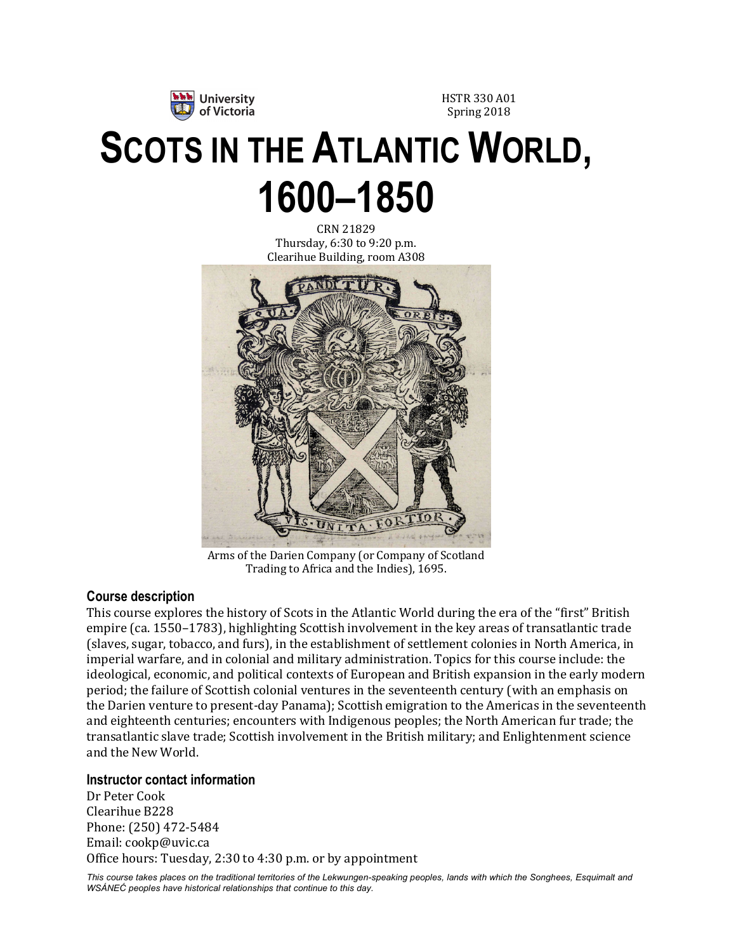

HSTR 330 A01 Spring 2018

# **SCOTS IN THE ATLANTIC WORLD, 1600–1850**

CRN 21829 Thursday, 6:30 to 9:20 p.m. Clearihue Building, room A308



Arms of the Darien Company (or Company of Scotland Trading to Africa and the Indies), 1695.

## **Course description**

This course explores the history of Scots in the Atlantic World during the era of the "first" British empire (ca. 1550–1783), highlighting Scottish involvement in the key areas of transatlantic trade (slaves, sugar, tobacco, and furs), in the establishment of settlement colonies in North America, in imperial warfare, and in colonial and military administration. Topics for this course include: the ideological, economic, and political contexts of European and British expansion in the early modern period; the failure of Scottish colonial ventures in the seventeenth century (with an emphasis on the Darien venture to present-day Panama); Scottish emigration to the Americas in the seventeenth and eighteenth centuries; encounters with Indigenous peoples; the North American fur trade; the transatlantic slave trade; Scottish involvement in the British military; and Enlightenment science and the New World.

## **Instructor contact information**

Dr Peter Cook Clearihue B228 Phone: (250) 472-5484 Email: cookp@uvic.ca Office hours: Tuesday, 2:30 to 4:30 p.m. or by appointment

*This course takes places on the traditional territories of the Lekwungen-speaking peoples, lands with which the Songhees, Esquimalt and WSÁNEĆ peoples have historical relationships that continue to this day.*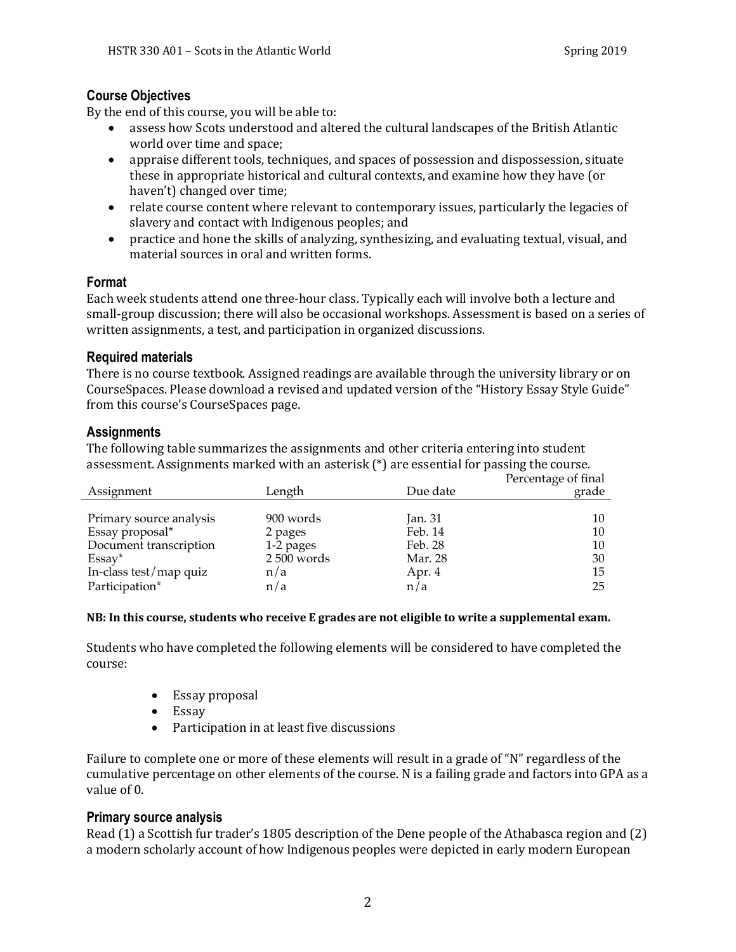## **Course Objectives**

By the end of this course, you will be able to:

- assess how Scots understood and altered the cultural landscapes of the British Atlantic world over time and space;
- appraise different tools, techniques, and spaces of possession and dispossession, situate these in appropriate historical and cultural contexts, and examine how they have (or haven't) changed over time;
- relate course content where relevant to contemporary issues, particularly the legacies of slavery and contact with Indigenous peoples; and
- practice and hone the skills of analyzing, synthesizing, and evaluating textual, visual, and material sources in oral and written forms.

## **Format**

Each week students attend one three-hour class. Typically each will involve both a lecture and small-group discussion; there will also be occasional workshops. Assessment is based on a series of written assignments, a test, and participation in organized discussions.

## **Required materials**

There is no course textbook. Assigned readings are available through the university library or on CourseSpaces. Please download a revised and updated version of the "History Essay Style Guide" from this course's CourseSpaces page.

## **Assignments**

The following table summarizes the assignments and other criteria entering into student assessment. Assignments marked with an asterisk  $(*)$  are essential for passing the course.

| Assignment              | Length     | Due date | Percentage of final<br>grade |
|-------------------------|------------|----------|------------------------------|
|                         |            |          |                              |
| Primary source analysis | 900 words  | Jan. 31  | 10                           |
| Essay proposal*         | 2 pages    | Feb. 14  | 10                           |
| Document transcription  | 1-2 pages  | Feb. 28  | 10                           |
| $Essay^*$               | 2500 words | Mar. 28  | 30                           |
| In-class test/map quiz  | n/a        | Apr. 4   | 15                           |
| Participation*          | n/a        | n/a      | 25                           |

#### **NB:** In this course, students who receive E grades are not eligible to write a supplemental exam.

Students who have completed the following elements will be considered to have completed the course:

- Essay proposal
- Essay
- Participation in at least five discussions

Failure to complete one or more of these elements will result in a grade of "N" regardless of the cumulative percentage on other elements of the course. N is a failing grade and factors into GPA as a value of 0.

#### **Primary source analysis**

Read  $(1)$  a Scottish fur trader's 1805 description of the Dene people of the Athabasca region and  $(2)$ a modern scholarly account of how Indigenous peoples were depicted in early modern European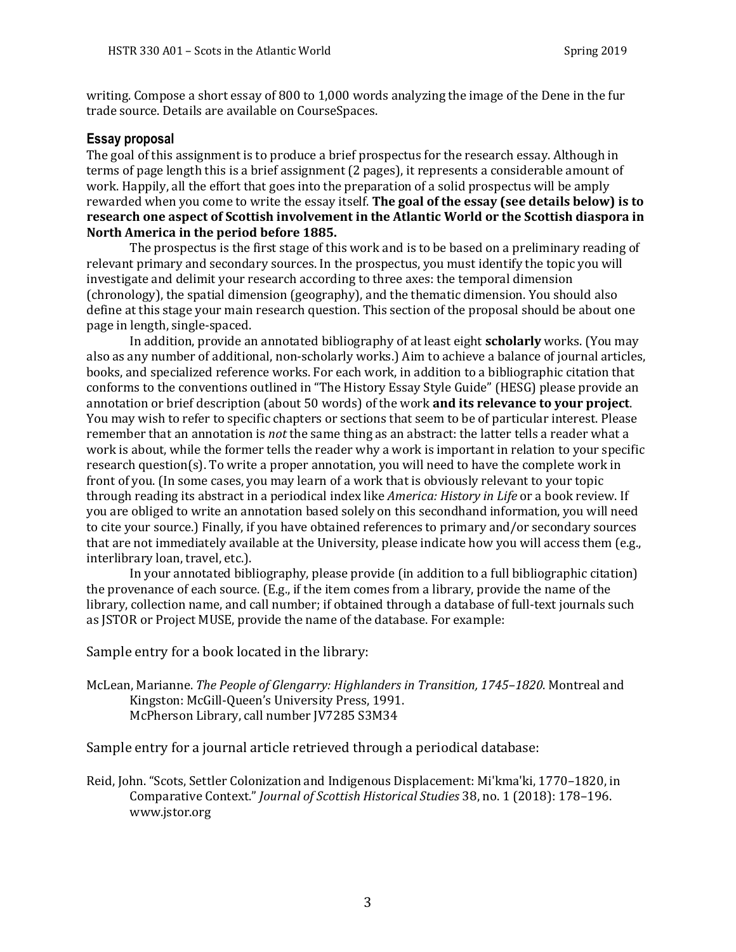writing. Compose a short essay of 800 to 1,000 words analyzing the image of the Dene in the fur trade source. Details are available on CourseSpaces.

## **Essay proposal**

The goal of this assignment is to produce a brief prospectus for the research essay. Although in terms of page length this is a brief assignment (2 pages), it represents a considerable amount of work. Happily, all the effort that goes into the preparation of a solid prospectus will be amply rewarded when you come to write the essay itself. **The goal of the essay (see details below) is to** research one aspect of Scottish involvement in the Atlantic World or the Scottish diaspora in North America in the period before 1885.

The prospectus is the first stage of this work and is to be based on a preliminary reading of relevant primary and secondary sources. In the prospectus, you must identify the topic you will investigate and delimit your research according to three axes: the temporal dimension  $(charonology)$ , the spatial dimension  $(geography)$ , and the thematic dimension. You should also define at this stage your main research question. This section of the proposal should be about one page in length, single-spaced.

In addition, provide an annotated bibliography of at least eight **scholarly** works. (You may also as any number of additional, non-scholarly works.) Aim to achieve a balance of journal articles, books, and specialized reference works. For each work, in addition to a bibliographic citation that conforms to the conventions outlined in "The History Essay Style Guide" (HESG) please provide an annotation or brief description (about 50 words) of the work **and its relevance to your project**. You may wish to refer to specific chapters or sections that seem to be of particular interest. Please remember that an annotation is *not* the same thing as an abstract: the latter tells a reader what a work is about, while the former tells the reader why a work is important in relation to your specific research question(s). To write a proper annotation, you will need to have the complete work in front of you. (In some cases, you may learn of a work that is obviously relevant to your topic through reading its abstract in a periodical index like *America: History in Life* or a book review. If you are obliged to write an annotation based solely on this secondhand information, you will need to cite your source.) Finally, if you have obtained references to primary and/or secondary sources that are not immediately available at the University, please indicate how you will access them (e.g., interlibrary loan, travel, etc.).

In your annotated bibliography, please provide (in addition to a full bibliographic citation) the provenance of each source. (E.g., if the item comes from a library, provide the name of the library, collection name, and call number; if obtained through a database of full-text journals such as JSTOR or Project MUSE, provide the name of the database. For example:

Sample entry for a book located in the library:

McLean, Marianne. *The People of Glengarry: Highlanders in Transition, 1745–1820*. Montreal and Kingston: McGill-Queen's University Press, 1991. McPherson Library, call number JV7285 S3M34

Sample entry for a journal article retrieved through a periodical database:

Reid, John. "Scots, Settler Colonization and Indigenous Displacement: Mi'kma'ki, 1770–1820, in Comparative Context." *Journal of Scottish Historical Studies* 38, no. 1 (2018): 178-196. www.jstor.org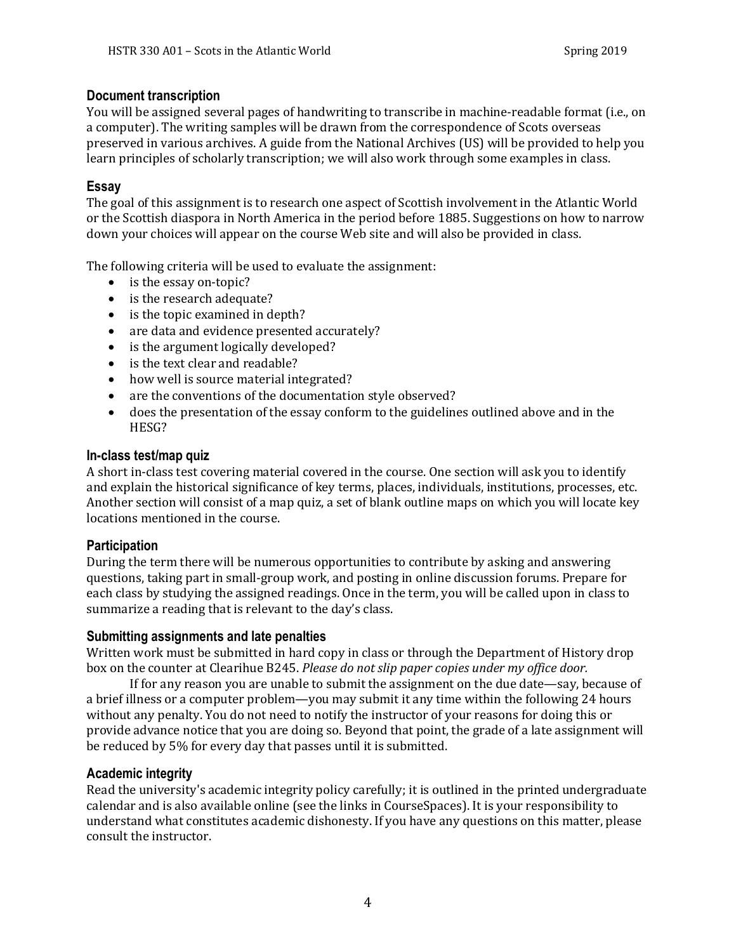## **Document transcription**

You will be assigned several pages of handwriting to transcribe in machine-readable format (i.e., on a computer). The writing samples will be drawn from the correspondence of Scots overseas preserved in various archives. A guide from the National Archives (US) will be provided to help you learn principles of scholarly transcription; we will also work through some examples in class.

# **Essay**

The goal of this assignment is to research one aspect of Scottish involvement in the Atlantic World or the Scottish diaspora in North America in the period before 1885. Suggestions on how to narrow down your choices will appear on the course Web site and will also be provided in class.

The following criteria will be used to evaluate the assignment:

- $\bullet$  is the essay on-topic?
- $\bullet$  is the research adequate?
- $\bullet$  is the topic examined in depth?
- are data and evidence presented accurately?
- $\bullet$  is the argument logically developed?
- is the text clear and readable?
- how well is source material integrated?
- are the conventions of the documentation style observed?
- does the presentation of the essay conform to the guidelines outlined above and in the HESG?

## **In-class test/map quiz**

A short in-class test covering material covered in the course. One section will ask you to identify and explain the historical significance of key terms, places, individuals, institutions, processes, etc. Another section will consist of a map quiz, a set of blank outline maps on which you will locate key locations mentioned in the course.

## **Participation**

During the term there will be numerous opportunities to contribute by asking and answering questions, taking part in small-group work, and posting in online discussion forums. Prepare for each class by studying the assigned readings. Once in the term, you will be called upon in class to summarize a reading that is relevant to the day's class.

## **Submitting assignments and late penalties**

Written work must be submitted in hard copy in class or through the Department of History drop box on the counter at Clearihue B245. *Please do not slip paper copies under my office door.* 

If for any reason you are unable to submit the assignment on the due date—say, because of a brief illness or a computer problem—you may submit it any time within the following 24 hours without any penalty. You do not need to notify the instructor of your reasons for doing this or provide advance notice that you are doing so. Beyond that point, the grade of a late assignment will be reduced by 5% for every day that passes until it is submitted.

## **Academic integrity**

Read the university's academic integrity policy carefully; it is outlined in the printed undergraduate calendar and is also available online (see the links in CourseSpaces). It is your responsibility to understand what constitutes academic dishonesty. If you have any questions on this matter, please consult the instructor.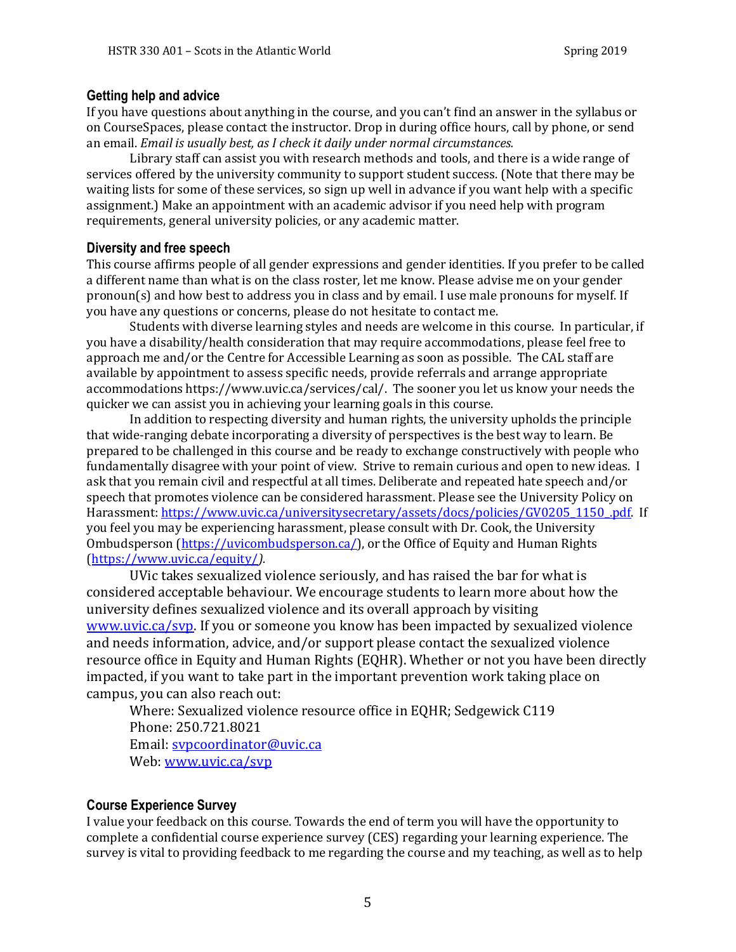## **Getting help and advice**

If you have questions about anything in the course, and you can't find an answer in the syllabus or on CourseSpaces, please contact the instructor. Drop in during office hours, call by phone, or send an email. *Email is usually best, as I check it daily under normal circumstances.* 

Library staff can assist you with research methods and tools, and there is a wide range of services offered by the university community to support student success. (Note that there may be waiting lists for some of these services, so sign up well in advance if you want help with a specific assignment.) Make an appointment with an academic advisor if you need help with program requirements, general university policies, or any academic matter.

## **Diversity and free speech**

This course affirms people of all gender expressions and gender identities. If you prefer to be called a different name than what is on the class roster, let me know. Please advise me on your gender pronoun(s) and how best to address you in class and by email. I use male pronouns for myself. If you have any questions or concerns, please do not hesitate to contact me.

Students with diverse learning styles and needs are welcome in this course. In particular, if you have a disability/health consideration that may require accommodations, please feel free to approach me and/or the Centre for Accessible Learning as soon as possible. The CAL staff are available by appointment to assess specific needs, provide referrals and arrange appropriate accommodations https://www.uvic.ca/services/cal/. The sooner you let us know your needs the quicker we can assist you in achieving your learning goals in this course.

In addition to respecting diversity and human rights, the university upholds the principle that wide-ranging debate incorporating a diversity of perspectives is the best way to learn. Be prepared to be challenged in this course and be ready to exchange constructively with people who fundamentally disagree with your point of view. Strive to remain curious and open to new ideas. I ask that you remain civil and respectful at all times. Deliberate and repeated hate speech and/or speech that promotes violence can be considered harassment. Please see the University Policy on Harassment: https://www.uvic.ca/universitysecretary/assets/docs/policies/GV0205\_1150\_pdf. If you feel you may be experiencing harassment, please consult with Dr. Cook, the University Ombudsperson (https://uvicombudsperson.ca/), or the Office of Equity and Human Rights (https://www.uvic.ca/equity/*).* 

UVic takes sexualized violence seriously, and has raised the bar for what is considered acceptable behaviour. We encourage students to learn more about how the university defines sexualized violence and its overall approach by visiting www.uvic.ca/svp. If you or someone you know has been impacted by sexualized violence and needs information, advice, and/or support please contact the sexualized violence resource office in Equity and Human Rights (EQHR). Whether or not you have been directly impacted, if you want to take part in the important prevention work taking place on campus, you can also reach out:

Where: Sexualized violence resource office in EQHR; Sedgewick C119 Phone: 250.721.8021 Email: svpcoordinator@uvic.ca Web: www.uvic.ca/svp

# **Course Experience Survey**

I value your feedback on this course. Towards the end of term you will have the opportunity to complete a confidential course experience survey (CES) regarding your learning experience. The survey is vital to providing feedback to me regarding the course and my teaching, as well as to help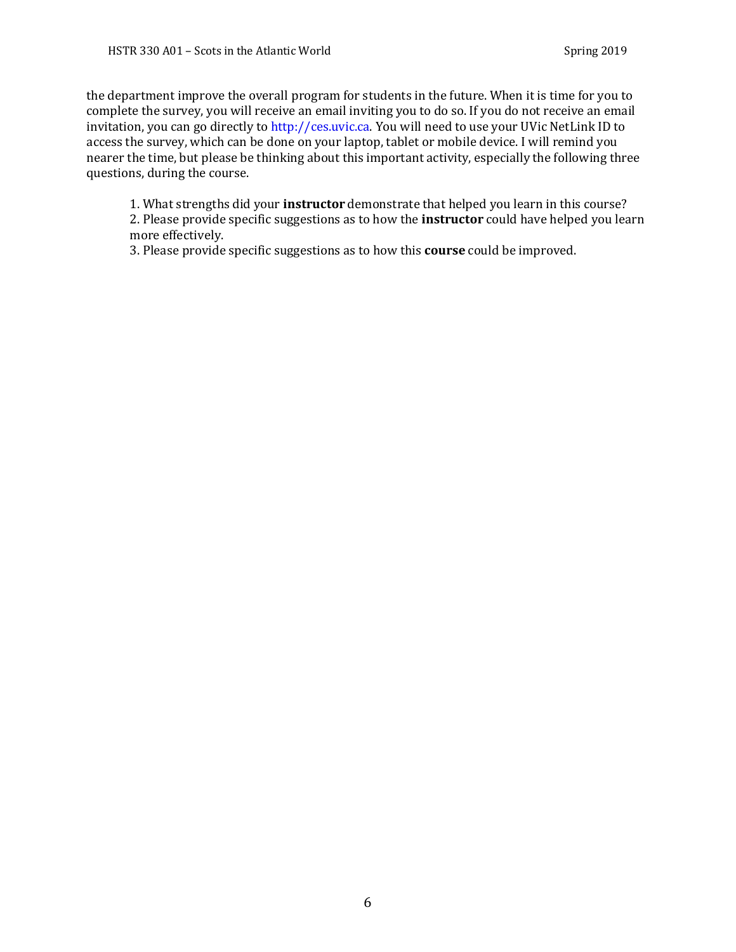the department improve the overall program for students in the future. When it is time for you to complete the survey, you will receive an email inviting you to do so. If you do not receive an email invitation, you can go directly to http://ces.uvic.ca. You will need to use your UVic NetLink ID to access the survey, which can be done on your laptop, tablet or mobile device. I will remind you nearer the time, but please be thinking about this important activity, especially the following three questions, during the course.

1. What strengths did your **instructor** demonstrate that helped you learn in this course? 2. Please provide specific suggestions as to how the **instructor** could have helped you learn more effectively.

3. Please provide specific suggestions as to how this **course** could be improved.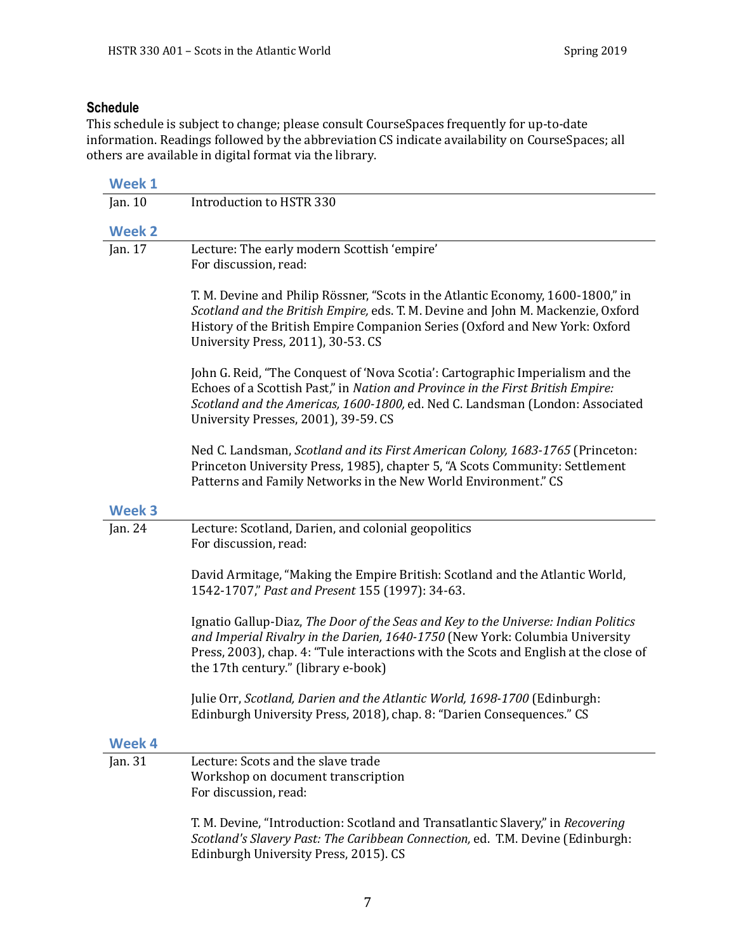# **Schedule**

This schedule is subject to change; please consult CourseSpaces frequently for up-to-date information. Readings followed by the abbreviation CS indicate availability on CourseSpaces; all others are available in digital format via the library.

| Week 1        |                                                                                                                                                                                                                                                                                                   |
|---------------|---------------------------------------------------------------------------------------------------------------------------------------------------------------------------------------------------------------------------------------------------------------------------------------------------|
| Jan. 10       | Introduction to HSTR 330                                                                                                                                                                                                                                                                          |
| <b>Week 2</b> |                                                                                                                                                                                                                                                                                                   |
| Jan. 17       | Lecture: The early modern Scottish 'empire'<br>For discussion, read:                                                                                                                                                                                                                              |
|               | T. M. Devine and Philip Rössner, "Scots in the Atlantic Economy, 1600-1800," in<br>Scotland and the British Empire, eds. T. M. Devine and John M. Mackenzie, Oxford<br>History of the British Empire Companion Series (Oxford and New York: Oxford<br>University Press, 2011), 30-53. CS          |
|               | John G. Reid, "The Conquest of 'Nova Scotia': Cartographic Imperialism and the<br>Echoes of a Scottish Past," in Nation and Province in the First British Empire:<br>Scotland and the Americas, 1600-1800, ed. Ned C. Landsman (London: Associated<br>University Presses, 2001), 39-59. CS        |
|               | Ned C. Landsman, Scotland and its First American Colony, 1683-1765 (Princeton:<br>Princeton University Press, 1985), chapter 5, "A Scots Community: Settlement<br>Patterns and Family Networks in the New World Environment." CS                                                                  |
| <b>Week 3</b> |                                                                                                                                                                                                                                                                                                   |
| Jan. 24       | Lecture: Scotland, Darien, and colonial geopolitics<br>For discussion, read:                                                                                                                                                                                                                      |
|               | David Armitage, "Making the Empire British: Scotland and the Atlantic World,<br>1542-1707," Past and Present 155 (1997): 34-63.                                                                                                                                                                   |
|               | Ignatio Gallup-Diaz, The Door of the Seas and Key to the Universe: Indian Politics<br>and Imperial Rivalry in the Darien, 1640-1750 (New York: Columbia University<br>Press, 2003), chap. 4: "Tule interactions with the Scots and English at the close of<br>the 17th century." (library e-book) |
|               | Julie Orr, Scotland, Darien and the Atlantic World, 1698-1700 (Edinburgh:<br>Edinburgh University Press, 2018), chap. 8: "Darien Consequences." CS                                                                                                                                                |
| <b>Week 4</b> |                                                                                                                                                                                                                                                                                                   |
| Jan. 31       | Lecture: Scots and the slave trade<br>Workshop on document transcription<br>For discussion, read:                                                                                                                                                                                                 |
|               | T. M. Devine, "Introduction: Scotland and Transatlantic Slavery," in Recovering<br>Scotland's Slavery Past: The Caribbean Connection, ed. T.M. Devine (Edinburgh:<br>Edinburgh University Press, 2015). CS                                                                                        |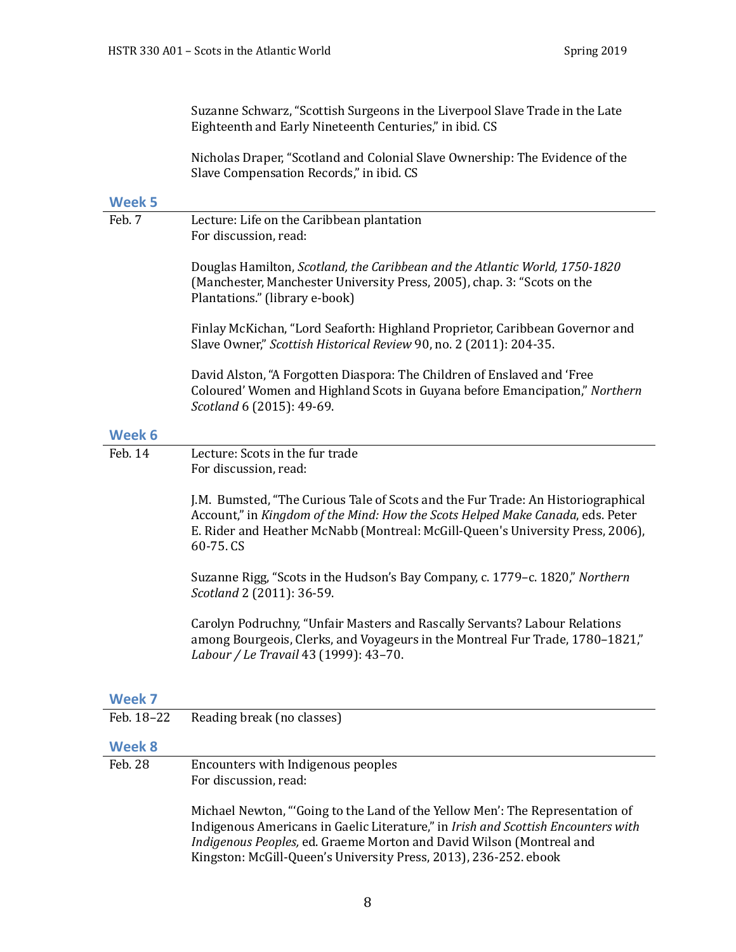| Suzanne Schwarz, "Scottish Surgeons in the Liverpool Slave Trade in the Late |
|------------------------------------------------------------------------------|
| Eighteenth and Early Nineteenth Centuries," in ibid. CS                      |

Nicholas Draper, "Scotland and Colonial Slave Ownership: The Evidence of the Slave Compensation Records," in ibid. CS

**Week 5**

| VV ししい し   |                                                                                                                                                                                                                                                                                                               |
|------------|---------------------------------------------------------------------------------------------------------------------------------------------------------------------------------------------------------------------------------------------------------------------------------------------------------------|
| Feb. 7     | Lecture: Life on the Caribbean plantation<br>For discussion, read:                                                                                                                                                                                                                                            |
|            | Douglas Hamilton, Scotland, the Caribbean and the Atlantic World, 1750-1820<br>(Manchester, Manchester University Press, 2005), chap. 3: "Scots on the<br>Plantations." (library e-book)                                                                                                                      |
|            | Finlay McKichan, "Lord Seaforth: Highland Proprietor, Caribbean Governor and<br>Slave Owner," Scottish Historical Review 90, no. 2 (2011): 204-35.                                                                                                                                                            |
|            | David Alston, "A Forgotten Diaspora: The Children of Enslaved and 'Free<br>Coloured' Women and Highland Scots in Guyana before Emancipation," Northern<br>Scotland 6 (2015): 49-69.                                                                                                                           |
| Week 6     |                                                                                                                                                                                                                                                                                                               |
| Feb. 14    | Lecture: Scots in the fur trade<br>For discussion, read:                                                                                                                                                                                                                                                      |
|            | J.M. Bumsted, "The Curious Tale of Scots and the Fur Trade: An Historiographical<br>Account," in Kingdom of the Mind: How the Scots Helped Make Canada, eds. Peter<br>E. Rider and Heather McNabb (Montreal: McGill-Queen's University Press, 2006),<br>60-75.CS                                              |
|            | Suzanne Rigg, "Scots in the Hudson's Bay Company, c. 1779-c. 1820," Northern<br>Scotland 2 (2011): 36-59.                                                                                                                                                                                                     |
|            | Carolyn Podruchny, "Unfair Masters and Rascally Servants? Labour Relations<br>among Bourgeois, Clerks, and Voyageurs in the Montreal Fur Trade, 1780-1821,"<br>Labour / Le Travail 43 (1999): 43-70.                                                                                                          |
|            |                                                                                                                                                                                                                                                                                                               |
| Week 7     |                                                                                                                                                                                                                                                                                                               |
| Feb. 18-22 | Reading break (no classes)                                                                                                                                                                                                                                                                                    |
| Week 8     |                                                                                                                                                                                                                                                                                                               |
| Feb. 28    | Encounters with Indigenous peoples<br>For discussion, read:                                                                                                                                                                                                                                                   |
|            | Michael Newton, "Going to the Land of the Yellow Men': The Representation of<br>Indigenous Americans in Gaelic Literature," in Irish and Scottish Encounters with<br>Indigenous Peoples, ed. Graeme Morton and David Wilson (Montreal and<br>Kingston: McGill-Queen's University Press, 2013), 236-252. ebook |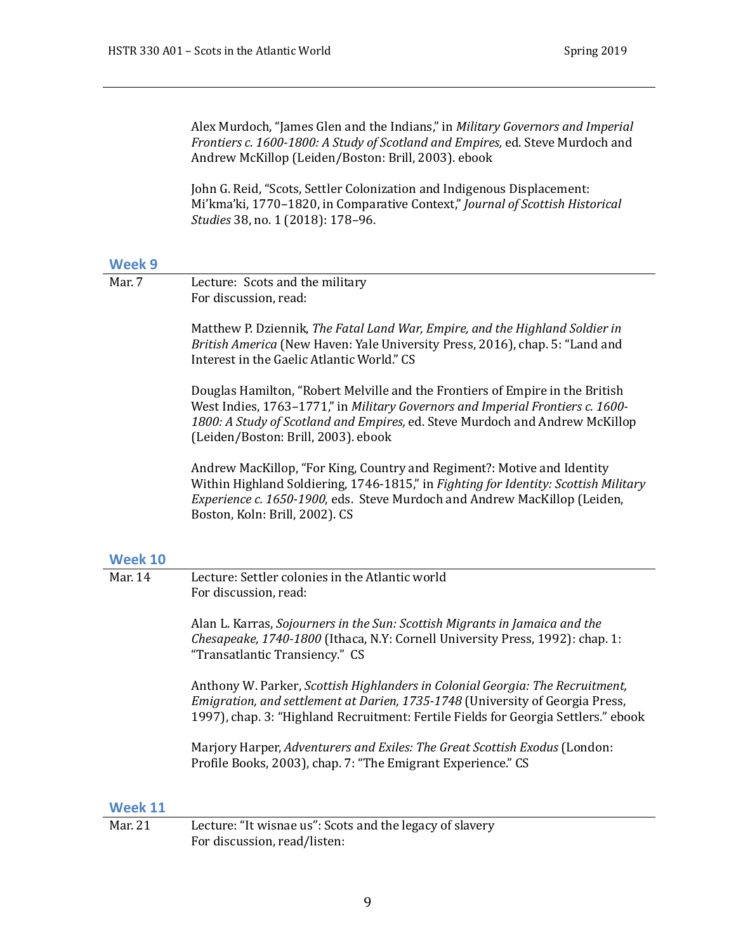|                | Alex Murdoch, "James Glen and the Indians," in Military Governors and Imperial<br>Frontiers c. 1600-1800: A Study of Scotland and Empires, ed. Steve Murdoch and<br>Andrew McKillop (Leiden/Boston: Brill, 2003). ebook                                                                |
|----------------|----------------------------------------------------------------------------------------------------------------------------------------------------------------------------------------------------------------------------------------------------------------------------------------|
|                | John G. Reid, "Scots, Settler Colonization and Indigenous Displacement:<br>Mi'kma'ki, 1770-1820, in Comparative Context," Journal of Scottish Historical<br>Studies 38, no. 1 (2018): 178-96.                                                                                          |
| Week 9         |                                                                                                                                                                                                                                                                                        |
| Mar. 7         | Lecture: Scots and the military<br>For discussion, read:                                                                                                                                                                                                                               |
|                | Matthew P. Dziennik, The Fatal Land War, Empire, and the Highland Soldier in<br>British America (New Haven: Yale University Press, 2016), chap. 5: "Land and<br>Interest in the Gaelic Atlantic World." CS                                                                             |
|                | Douglas Hamilton, "Robert Melville and the Frontiers of Empire in the British<br>West Indies, 1763-1771," in Military Governors and Imperial Frontiers c. 1600-<br>1800: A Study of Scotland and Empires, ed. Steve Murdoch and Andrew McKillop<br>(Leiden/Boston: Brill, 2003). ebook |
|                | Andrew MacKillop, "For King, Country and Regiment?: Motive and Identity<br>Within Highland Soldiering, 1746-1815," in Fighting for Identity: Scottish Military<br>Experience c. 1650-1900, eds. Steve Murdoch and Andrew MacKillop (Leiden,<br>Boston, Koln: Brill, 2002). CS          |
| <b>Week 10</b> |                                                                                                                                                                                                                                                                                        |
| <b>Mar. 14</b> | Lecture: Settler colonies in the Atlantic world<br>For discussion, read:                                                                                                                                                                                                               |
|                | Alan L. Karras, Sojourners in the Sun: Scottish Migrants in Jamaica and the<br>Chesapeake, 1740-1800 (Ithaca, N.Y: Cornell University Press, 1992): chap. 1:<br>"Transatlantic Transiency." CS                                                                                         |
|                | Anthony W. Parker, Scottish Highlanders in Colonial Georgia: The Recruitment,<br>Emigration, and settlement at Darien, 1735-1748 (University of Georgia Press,<br>1997), chap. 3: "Highland Recruitment: Fertile Fields for Georgia Settlers." ebook                                   |
|                | Marjory Harper, Adventurers and Exiles: The Great Scottish Exodus (London:<br>Profile Books, 2003), chap. 7: "The Emigrant Experience." CS                                                                                                                                             |
| <b>Week 11</b> |                                                                                                                                                                                                                                                                                        |
| Mar. 21        | Lecture: "It wisnae us": Scots and the legacy of slavery                                                                                                                                                                                                                               |

For discussion, read/listen: